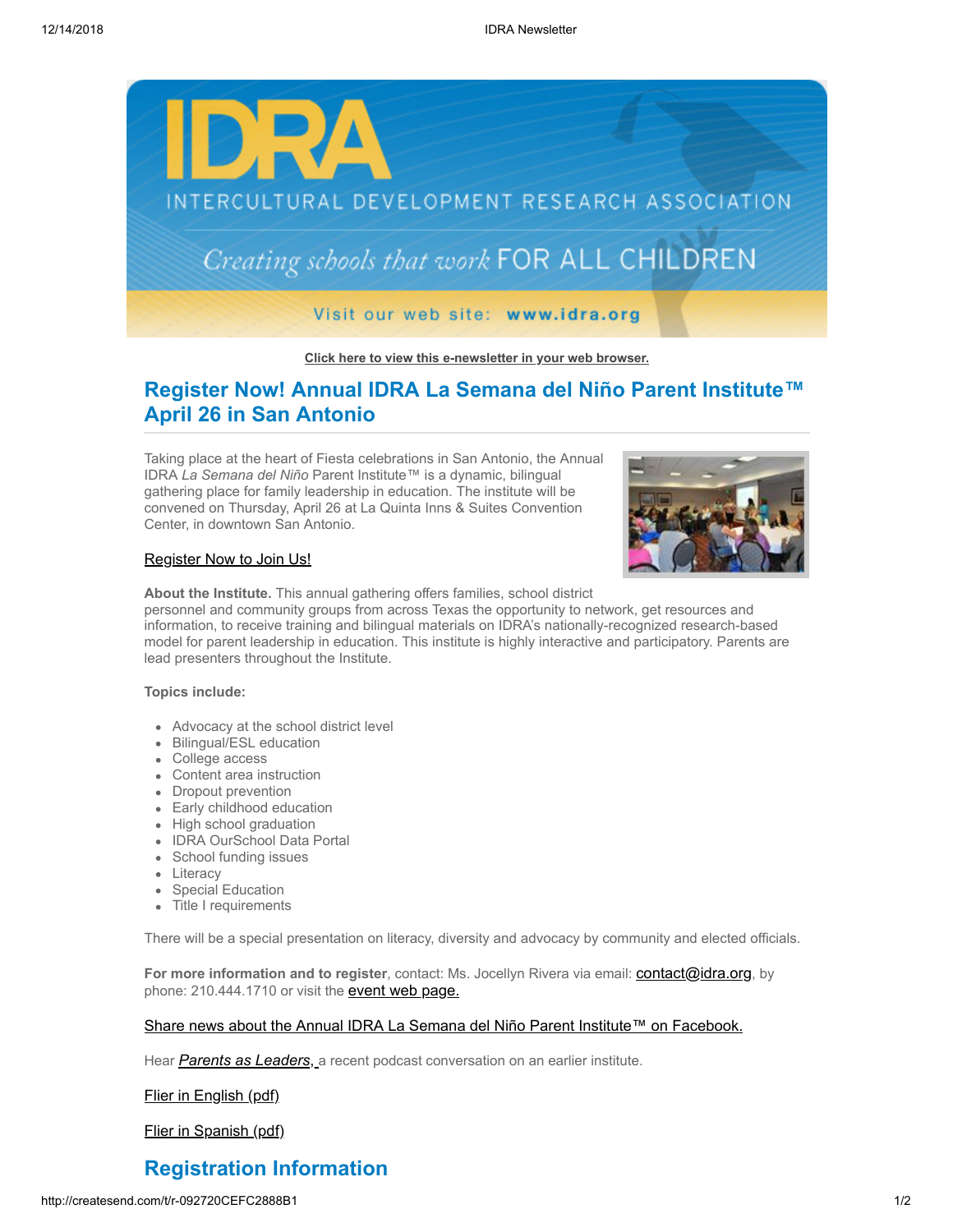

#### **[Click here to view this e-newsletter in your web browser.](http://newsletter.impulsedevelopment.com/t/r-e-ditkst-l-r/)**

## **Register Now! Annual IDRA La Semana del Niño Parent Institute™ April 26 in San Antonio**

Taking place at the heart of Fiesta celebrations in San Antonio, the Annual IDRA *La Semana del Niño* Parent Institute™ is a dynamic, bilingual gathering place for family leadership in education. The institute will be convened on Thursday, April 26 at La Quinta Inns & Suites Convention Center, in downtown San Antonio.



### [Register Now to Join Us!](http://newsletter.impulsedevelopment.com/t/r-l-ditkst-l-k/)

**About the Institute.** This annual gathering offers families, school district

personnel and community groups from across Texas the opportunity to network, get resources and information, to receive training and bilingual materials on IDRA's nationally-recognized research-based model for parent leadership in education. This institute is highly interactive and participatory. Parents are lead presenters throughout the Institute.

#### **Topics include:**

- Advocacy at the school district level
- Bilingual/ESL education
- College access
- Content area instruction
- Dropout prevention
- Early childhood education
- High school graduation
- IDRA OurSchool Data Portal
- School funding issues
- Literacy
- Special Education
- Title I requirements

There will be a special presentation on literacy, diversity and advocacy by community and elected officials.

For more information and to register, contact: Ms. Jocellyn Rivera via email: **[contact@idra.org](mailto:contact@idra.org?subject=Parent%20Institute)**, by phone: 210.444.1710 or visit the **[event web page.](http://newsletter.impulsedevelopment.com/t/r-l-ditkst-l-u/)** 

### [Share news about the Annual IDRA La Semana del Niño Parent Institute™ on Facebook.](http://createsend.com/t/r-fb-ditkst-l-c/?act=wv)

Hear *[Parents as Leaders](http://newsletter.impulsedevelopment.com/t/r-l-ditkst-l-b/)*, a recent podcast conversation on an earlier institute.

[Flier in English \(pdf\)](http://newsletter.impulsedevelopment.com/t/r-l-ditkst-l-n/)

[Flier in Spanish \(pdf\)](http://newsletter.impulsedevelopment.com/t/r-l-ditkst-l-p/)

# **Registration Information**